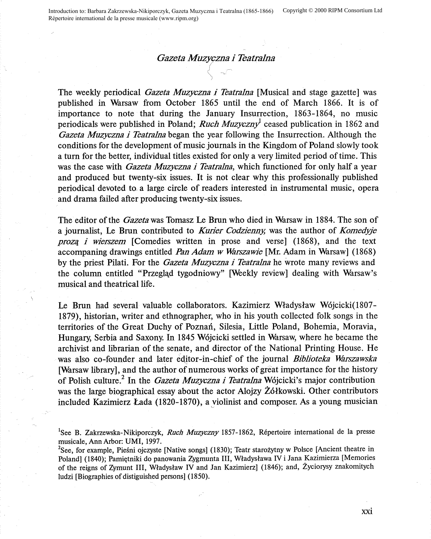## *Gazeta Muzyczna i Teatralna*

The weekly periodical *Gazeta Muzyczna i Teatralna* [Musical and stage gazette] was published in Warsaw from October 1865 until the end of March 1866. It is of importance to note that during the January Insurrection, 1863-1864, no music periodicals were published in Poland; *Ruch Muzyczny* ceased publication in 1862 and *Gazeta Muzyczna i Teatralna* began the year following the Insurrection. Although the conditions for the development of music journals in the Kingdom of Poland slowly took a turn for the better, individual titles existed for only a very limited period of time. This was the case with *Gazeta Muzyczna i Teatralna,* which functioned for only half a year and produced but twenty-six issues. It is not clear why this professionally published periodical devoted to-a large circle of readers interested in instrumental music, opera and drama failed after producing twenty-six issues.

The editor of the *Gazetawas* Tomasz Le Brun who died in Warsaw in 1884. The son of a journalist, Le Brun contributed to *Kurier Codzienny,* was the author of *Komedyje proz4 i wierszem* [Comedies written in prose and verse] (1868), and the text accompaning drawings entitled *Pan Adam w Warszawie* [Mr. Adam in Warsaw] (1868) by the priest Pilati. For the *Gazeta Muzyczna i Teatralna* he wrote many reviews and the column entitled "Przegląd tygodniowy" [Weekly review] dealing with Warsaw's musical and theatrical life.

Le Brun had several valuable collaborators. Kazimierz Wfadysfaw W6jcicki(l807- 1879), historian, writer and ethnographer, who in his youth collected folk songs in the territories of the Great Duchy of Poznan, Silesia, Little Poland, Bohemia, Moravia, Hungary, Serbia and Saxony. In 1845 Wojcicki settled in Warsaw, where he became the archivist and librarian of the senate, and director of the National Printing House. He was also co-founder and later editor-in-chief of the journal *Biblioteka Warszawska* [Warsaw library], and the author of numerous works of great importance for the history of Polish culture.2 In the *Gazeta Muzyczna i Teatralna* W6jcicki's major contribution was the large biographical essay about the actor Alojzy Z6lkowski. Other contributors included Kazimierz Lada (1820-1870), a yiolinist and composer. As a young musician

<sup>1</sup>See B. Zakrzewska-Nikiporczyk, *Ruch Muzyczny* 1857-1862, Répertoire international de la presse musicale, Ann Arbor: UMI, 1997.

<sup>2</sup>See, for example, Pieśni ojczyste [Native songs] (1830); Teatr starożytny w Polsce [Ancient theatre in Poland] (1840); Pamiętniki do panowania Zygmunta III, Władysława IV i Jana Kazimierza [Memories of the reigns of Zymunt III, Wfadyslaw IV and Jan Kazimierz] (1846); and, Zyciorysy znakomitych ludzi [Biographies of distiguished persons] (1850).

xxi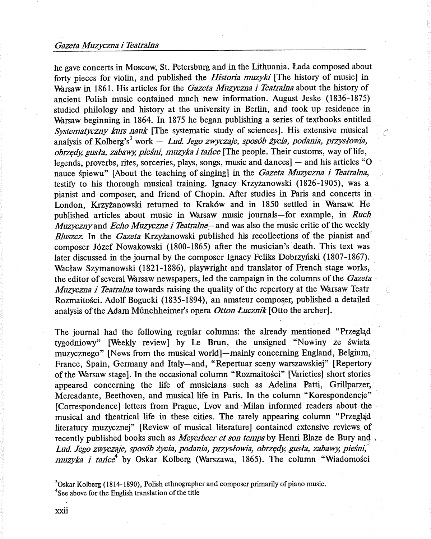## *Gazeta Muzyczna i Teatralna*

he gave concerts in Moscow, St. Petersburg and in the Lithuania. Lada composed about forty pieces for violin, and published the *Historia muzyki* [The history of music] in Warsaw in 1861. His articles for the *Gazeta Muzyczna i Teatralna* about the history of ancient Polish music contained much new information. August Jeske (1836-1875) studied philology and history at the university in Berlin, and took up residence in Warsaw beginning in 1864. In 1875 he began publishing a series of textbooks entitled *Systematyczny kurs nauk* [The systematic study of sciences]. His extensive musical *(*  analysis of Kolberg's<sup>3</sup> work — *Lud. Jego zwyczaje, sposób życia, podania, przysłowia, obrzc;dy; gusla, zabawy; piesni, muzyka i tance* [The people. Their customs, way of life, legends, proverbs, rites, sorceries, plays, songs, music and dances $]-$  and his articles "O nauce spiewu" [About the teaching of singing] in the *Gazeta Muzyczna i Teatralna,*  testify to his thorough musical training. lgnacy Krzyzanowski (1826-1905), was <sup>a</sup> <sup>p</sup>ianist and composer, and friend of Chopin. After studies in Paris and concerts in London, Krzyżanowski returned to Kraków and in 1850 settled in Warsaw. He published articles about music in Warsaw music journals-for example, in *Ruch Muzyczny* and *Echo Muzyczne i Teatralne*—and was also the music critic of the weekly *Bluszcz.* In the *Gazeta* Krzyzanowski published his recollections of the pianist and composer Jozef Nowakowski (1800-1865) after the musician's death. This text was later discussed in the journal by the composer Ignacy Feliks Dobrzyński (1807-1867). Wacław Szymanowski (1821-1886), playwright and translator of French stage works, the editor of several Warsaw newspapers, led the campaign in the columns of the *Gazeta Muzyczna i Teatralna* towards raising the quality of the repertory at the Warsaw Teatr Rozmaitosci. Adolf Bogucki (1835-1894), an amateur composer, published a detailed analysis of the Adam Münchheimer's opera *Otton Łucznik* [Otto the archer].

ζ.

The journal had the following regular columns: the already mentioned "Przegląd" tygodniowy" [Weekly review] by Le Brun, the unsigned "Nowiny ze świata muzycznego" [News from the musical world]-mainly concerning England, Belgium, France, Spain, Germany and Italy-and, "Repertuar sceny warszawskiej" [Repertory of the Warsaw stage]. In the occasional column "Rozmaitosci" [Varieties] short stories appeared concerning the life of musicians such as Adelina Patti, Grillparzer, Mercadante, Beethoven, and musical life in Paris. In the column "Korespondencje" [Correspondence] letters from Prague, Lvov and Milan informed readers about the musical and theatrical life in these cities. The rarely appearing column "Przegląd literatury muzycznej" [Review of musical literature] contained extensive reviews of recently published books such as *Meyerbeer et son temps* by Henri Blaze de Bury and , *Lud. Jego zwyczaje, spos6b zycia, podania, przyslowia, obrzt;dy; gusla, zabawy; piesni," muzyka i tance*<sup>4</sup> by Oskar Kolberg (Warszawa, 1865). The column "Wiadomości

<sup>3</sup>Oskar Kolberg (1814-1890), Polish ethnographer and composer primarily of piano music. <sup>4</sup>See above for the English translation of the title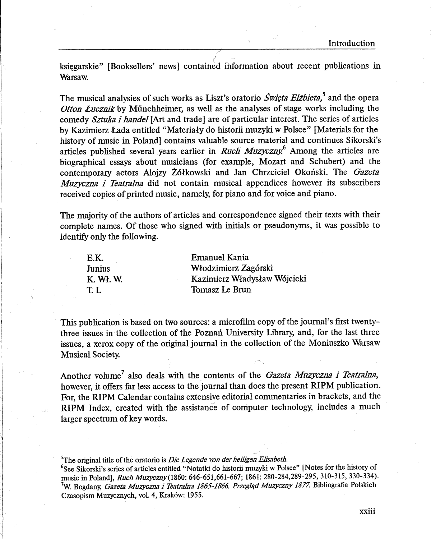ksiegarskie" [Booksellers' news] contained information about recent publications in Warsaw.

The musical analysies of such works as Liszt's oratorio *Świeta Elżbieta*,<sup>5</sup> and the opera *Otton Lucznik* by Miinchheimer, as well as the analyses of stage works including the comedy *Sztuka i handel* [Art and trade] are of particular interest. The series of articles by Kazimierz Lada entitled "Materiafy do historii muzyki w Polsce" [Materials for the history of music in Poland] contains valuable source material and continues Sikorski's articles published several years earlier in *Ruch Muzyczny.*<sup>6</sup>Among the articles are biographical essays about musicians (for example, Mozart and Schubert) and the contemporary actors Alojzy Zolkowski and Jan Chrzciciel Okonski. The *Gazeta Muzyczna i Teatralna* did not contain musical appendices however its subscribers received copies of printed music, namely, for piano and for voice and piano.

The majority of the authors of articles and correspondence signed their texts with their complete names. Of those who signed with initials or pseudonyms, it was possible to identify only the following.

| E.K.          | <b>Emanuel Kania</b>         |
|---------------|------------------------------|
| <b>Junius</b> | Włodzimierz Zagórski         |
| K. W. W.      | Kazimierz Władysław Wójcicki |
| TL.           | Tomasz Le Brun               |

This publication is based on two sources: a microfilm copy of the journal's first twentythree issues in the collection of the Poznań University Library, and, for the last three issues, a xerox copy of the original journal in the collection of the Moniuszko Warsaw Musical Society.

Another volume<sup>7</sup> also deals with the contents of the *Gazeta Muzyczna i Teatralna*, however, it offers far less access to the journal than does the present **RIPM** publication. For, the **RIPM** Calendar contains extensive editorial commentaries in brackets, and the **RIPM** Index, created with the assistance of computer technology, includes a much larger spectrum of key words.

5 The original title of the oratorio is *Die Lcgende von der heiligen Elisabeth.* 

6 See Sikorski's series of articles entitled "Notatki do historii muzyki w Polsce" [Notes for the history of music in Poland], *Ruch Muzyczny(1860:* 646-651,661-667; 1861: 280-284,289-295, 310-315, 330-334). 7 W. Bogdany, *Gazeta Muzyczna i Teatralna 1865-1866. Przegl4d Muzyczny 1877.* Bibliografia Polskich Czasopism Muzycznych, vol. 4, Krak6w: 1955.